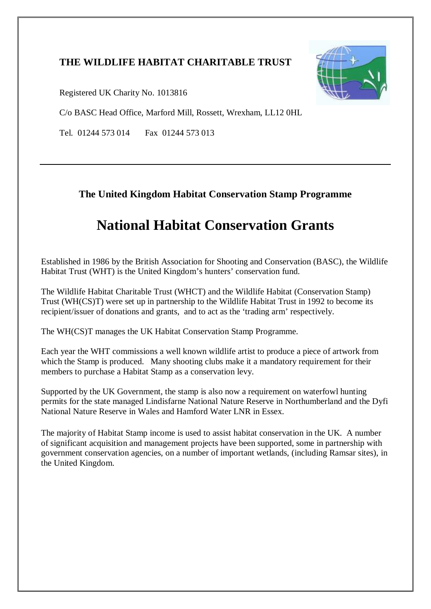### **THE WILDLIFE HABITAT CHARITABLE TRUST**



Registered UK Charity No. 1013816

C/o BASC Head Office, Marford Mill, Rossett, Wrexham, LL12 0HL

Tel. 01244 573 014 Fax 01244 573 013

### **The United Kingdom Habitat Conservation Stamp Programme**

# **National Habitat Conservation Grants**

Established in 1986 by the British Association for Shooting and Conservation (BASC), the Wildlife Habitat Trust (WHT) is the United Kingdom's hunters' conservation fund.

The Wildlife Habitat Charitable Trust (WHCT) and the Wildlife Habitat (Conservation Stamp) Trust (WH(CS)T) were set up in partnership to the Wildlife Habitat Trust in 1992 to become its recipient/issuer of donations and grants, and to act as the 'trading arm' respectively.

The WH(CS)T manages the UK Habitat Conservation Stamp Programme.

Each year the WHT commissions a well known wildlife artist to produce a piece of artwork from which the Stamp is produced. Many shooting clubs make it a mandatory requirement for their members to purchase a Habitat Stamp as a conservation levy.

Supported by the UK Government, the stamp is also now a requirement on waterfowl hunting permits for the state managed Lindisfarne National Nature Reserve in Northumberland and the Dyfi National Nature Reserve in Wales and Hamford Water LNR in Essex.

The majority of Habitat Stamp income is used to assist habitat conservation in the UK. A number of significant acquisition and management projects have been supported, some in partnership with government conservation agencies, on a number of important wetlands, (including Ramsar sites), in the United Kingdom.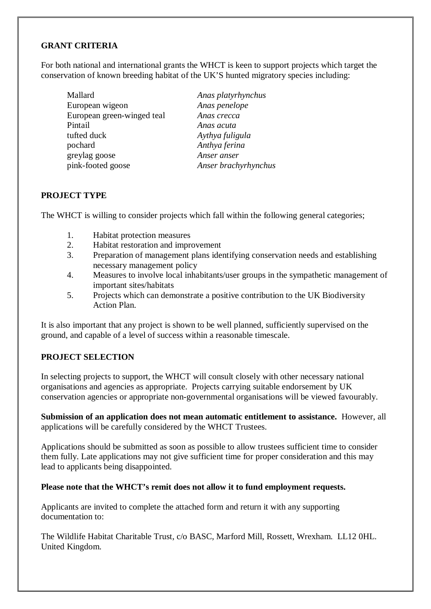#### **GRANT CRITERIA**

For both national and international grants the WHCT is keen to support projects which target the conservation of known breeding habitat of the UK'S hunted migratory species including:

Mallard *Anas platyrhynchus* European wigeon *Anas penelope* European green-winged teal *Anas crecca* Pintail *Anas acuta* tufted duck *Aythya fuligula* pochard *Anthya ferina* greylag goose *Anser anser* pink-footed goose *Anser brachyrhynchus*

#### **PROJECT TYPE**

The WHCT is willing to consider projects which fall within the following general categories;

- 1. Habitat protection measures
- 2. Habitat restoration and improvement
- 3. Preparation of management plans identifying conservation needs and establishing necessary management policy
- 4. Measures to involve local inhabitants/user groups in the sympathetic management of important sites/habitats
- 5. Projects which can demonstrate a positive contribution to the UK Biodiversity Action Plan.

It is also important that any project is shown to be well planned, sufficiently supervised on the ground, and capable of a level of success within a reasonable timescale.

#### **PROJECT SELECTION**

In selecting projects to support, the WHCT will consult closely with other necessary national organisations and agencies as appropriate. Projects carrying suitable endorsement by UK conservation agencies or appropriate non-governmental organisations will be viewed favourably.

**Submission of an application does not mean automatic entitlement to assistance.** However, all applications will be carefully considered by the WHCT Trustees.

Applications should be submitted as soon as possible to allow trustees sufficient time to consider them fully. Late applications may not give sufficient time for proper consideration and this may lead to applicants being disappointed.

#### **Please note that the WHCT's remit does not allow it to fund employment requests.**

Applicants are invited to complete the attached form and return it with any supporting documentation to:

The Wildlife Habitat Charitable Trust, c/o BASC, Marford Mill, Rossett, Wrexham. LL12 0HL. United Kingdom.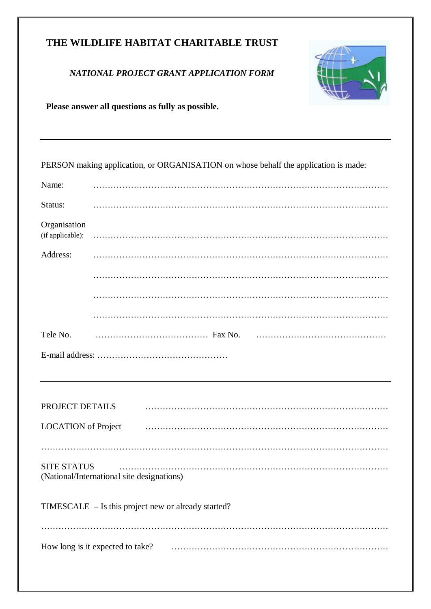### **THE WILDLIFE HABITAT CHARITABLE TRUST**

#### *NATIONAL PROJECT GRANT APPLICATION FORM*



**Please answer all questions as fully as possible.** 

PERSON making application, or ORGANISATION on whose behalf the application is made:

| Name:                            |                                                     |  |  |  |
|----------------------------------|-----------------------------------------------------|--|--|--|
| Status:                          |                                                     |  |  |  |
| Organisation<br>(if applicable): |                                                     |  |  |  |
| Address:                         |                                                     |  |  |  |
|                                  |                                                     |  |  |  |
|                                  |                                                     |  |  |  |
|                                  |                                                     |  |  |  |
| Tele No.                         |                                                     |  |  |  |
|                                  |                                                     |  |  |  |
|                                  |                                                     |  |  |  |
|                                  |                                                     |  |  |  |
|                                  |                                                     |  |  |  |
| PROJECT DETAILS                  |                                                     |  |  |  |
| <b>LOCATION</b> of Project       |                                                     |  |  |  |
|                                  |                                                     |  |  |  |
| <b>SITE STATUS</b>               | (National/International site designations)          |  |  |  |
|                                  | TIMESCALE - Is this project new or already started? |  |  |  |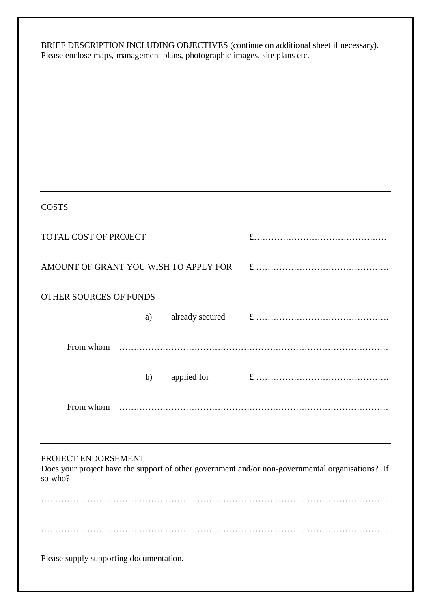BRIEF DESCRIPTION INCLUDING OBJECTIVES (continue on additional sheet if necessary). Please enclose maps, management plans, photographic images, site plans etc.

| <b>COSTS</b>                                                                                                                       |  |
|------------------------------------------------------------------------------------------------------------------------------------|--|
| TOTAL COST OF PROJECT                                                                                                              |  |
| AMOUNT OF GRANT YOU WISH TO APPLY FOR                                                                                              |  |
| OTHER SOURCES OF FUNDS                                                                                                             |  |
| a)                                                                                                                                 |  |
|                                                                                                                                    |  |
| b)                                                                                                                                 |  |
|                                                                                                                                    |  |
|                                                                                                                                    |  |
| PROJECT ENDORSEMENT<br>Does your project have the support of other government and/or non-governmental organisations? If<br>so who? |  |
|                                                                                                                                    |  |
|                                                                                                                                    |  |
| Please supply supporting documentation.                                                                                            |  |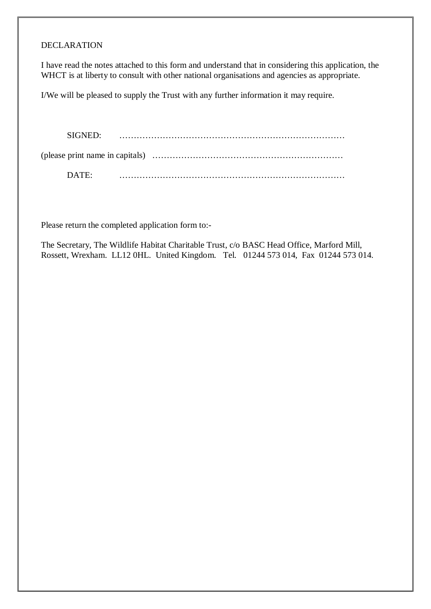#### DECLARATION

I have read the notes attached to this form and understand that in considering this application, the WHCT is at liberty to consult with other national organisations and agencies as appropriate.

I/We will be pleased to supply the Trust with any further information it may require.

SIGNED: …………………………………………………………………… (please print name in capitals) ………………………………………………………… DATE: ……………………………………………………………………

Please return the completed application form to:-

The Secretary, The Wildlife Habitat Charitable Trust, c/o BASC Head Office, Marford Mill, Rossett, Wrexham. LL12 0HL. United Kingdom. Tel. 01244 573 014, Fax 01244 573 014.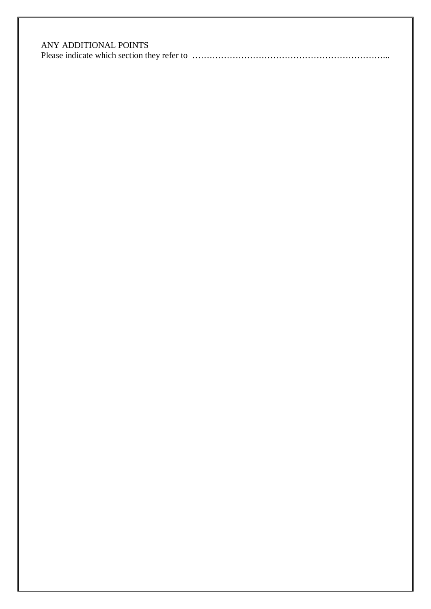### ANY ADDITIONAL POINTS

|--|--|